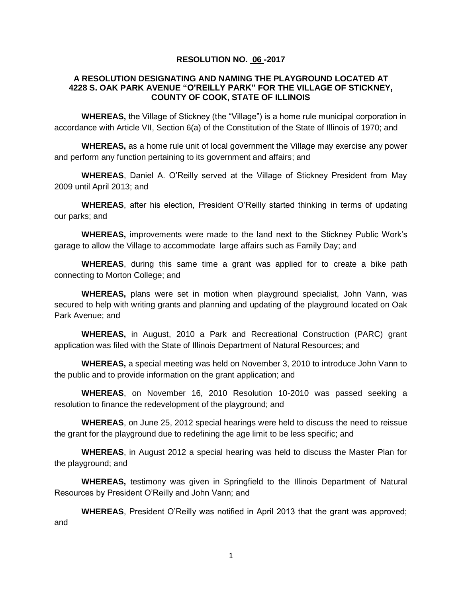## **RESOLUTION NO. 06 -2017**

## **A RESOLUTION DESIGNATING AND NAMING THE PLAYGROUND LOCATED AT 4228 S. OAK PARK AVENUE "O'REILLY PARK" FOR THE VILLAGE OF STICKNEY, COUNTY OF COOK, STATE OF ILLINOIS**

**WHEREAS,** the Village of Stickney (the "Village") is a home rule municipal corporation in accordance with Article VII, Section 6(a) of the Constitution of the State of Illinois of 1970; and

**WHEREAS,** as a home rule unit of local government the Village may exercise any power and perform any function pertaining to its government and affairs; and

**WHEREAS**, Daniel A. O'Reilly served at the Village of Stickney President from May 2009 until April 2013; and

**WHEREAS**, after his election, President O'Reilly started thinking in terms of updating our parks; and

**WHEREAS,** improvements were made to the land next to the Stickney Public Work's garage to allow the Village to accommodate large affairs such as Family Day; and

**WHEREAS**, during this same time a grant was applied for to create a bike path connecting to Morton College; and

**WHEREAS,** plans were set in motion when playground specialist, John Vann, was secured to help with writing grants and planning and updating of the playground located on Oak Park Avenue; and

**WHEREAS,** in August, 2010 a Park and Recreational Construction (PARC) grant application was filed with the State of Illinois Department of Natural Resources; and

**WHEREAS,** a special meeting was held on November 3, 2010 to introduce John Vann to the public and to provide information on the grant application; and

**WHEREAS**, on November 16, 2010 Resolution 10-2010 was passed seeking a resolution to finance the redevelopment of the playground; and

**WHEREAS**, on June 25, 2012 special hearings were held to discuss the need to reissue the grant for the playground due to redefining the age limit to be less specific; and

**WHEREAS**, in August 2012 a special hearing was held to discuss the Master Plan for the playground; and

**WHEREAS,** testimony was given in Springfield to the Illinois Department of Natural Resources by President O'Reilly and John Vann; and

**WHEREAS**, President O'Reilly was notified in April 2013 that the grant was approved; and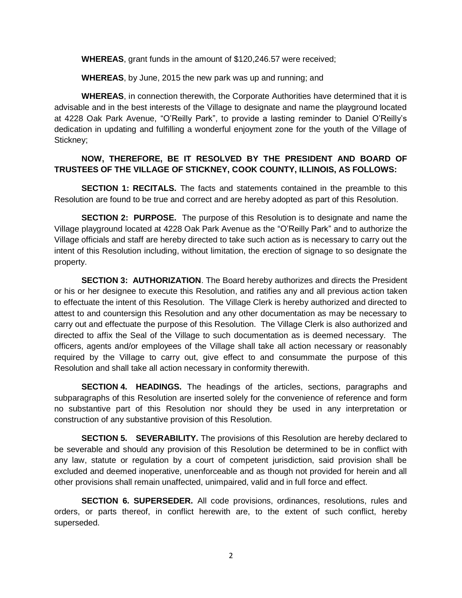**WHEREAS**, grant funds in the amount of \$120,246.57 were received;

**WHEREAS**, by June, 2015 the new park was up and running; and

**WHEREAS**, in connection therewith, the Corporate Authorities have determined that it is advisable and in the best interests of the Village to designate and name the playground located at 4228 Oak Park Avenue, "O'Reilly Park", to provide a lasting reminder to Daniel O'Reilly's dedication in updating and fulfilling a wonderful enjoyment zone for the youth of the Village of Stickney;

## **NOW, THEREFORE, BE IT RESOLVED BY THE PRESIDENT AND BOARD OF TRUSTEES OF THE VILLAGE OF STICKNEY, COOK COUNTY, ILLINOIS, AS FOLLOWS:**

**SECTION 1: RECITALS.** The facts and statements contained in the preamble to this Resolution are found to be true and correct and are hereby adopted as part of this Resolution.

**SECTION 2: PURPOSE.** The purpose of this Resolution is to designate and name the Village playground located at 4228 Oak Park Avenue as the "O'Reilly Park" and to authorize the Village officials and staff are hereby directed to take such action as is necessary to carry out the intent of this Resolution including, without limitation, the erection of signage to so designate the property.

**SECTION 3: AUTHORIZATION**. The Board hereby authorizes and directs the President or his or her designee to execute this Resolution, and ratifies any and all previous action taken to effectuate the intent of this Resolution. The Village Clerk is hereby authorized and directed to attest to and countersign this Resolution and any other documentation as may be necessary to carry out and effectuate the purpose of this Resolution. The Village Clerk is also authorized and directed to affix the Seal of the Village to such documentation as is deemed necessary. The officers, agents and/or employees of the Village shall take all action necessary or reasonably required by the Village to carry out, give effect to and consummate the purpose of this Resolution and shall take all action necessary in conformity therewith.

**SECTION 4. HEADINGS.** The headings of the articles, sections, paragraphs and subparagraphs of this Resolution are inserted solely for the convenience of reference and form no substantive part of this Resolution nor should they be used in any interpretation or construction of any substantive provision of this Resolution.

**SECTION 5. SEVERABILITY.** The provisions of this Resolution are hereby declared to be severable and should any provision of this Resolution be determined to be in conflict with any law, statute or regulation by a court of competent jurisdiction, said provision shall be excluded and deemed inoperative, unenforceable and as though not provided for herein and all other provisions shall remain unaffected, unimpaired, valid and in full force and effect.

**SECTION 6. SUPERSEDER.** All code provisions, ordinances, resolutions, rules and orders, or parts thereof, in conflict herewith are, to the extent of such conflict, hereby superseded.